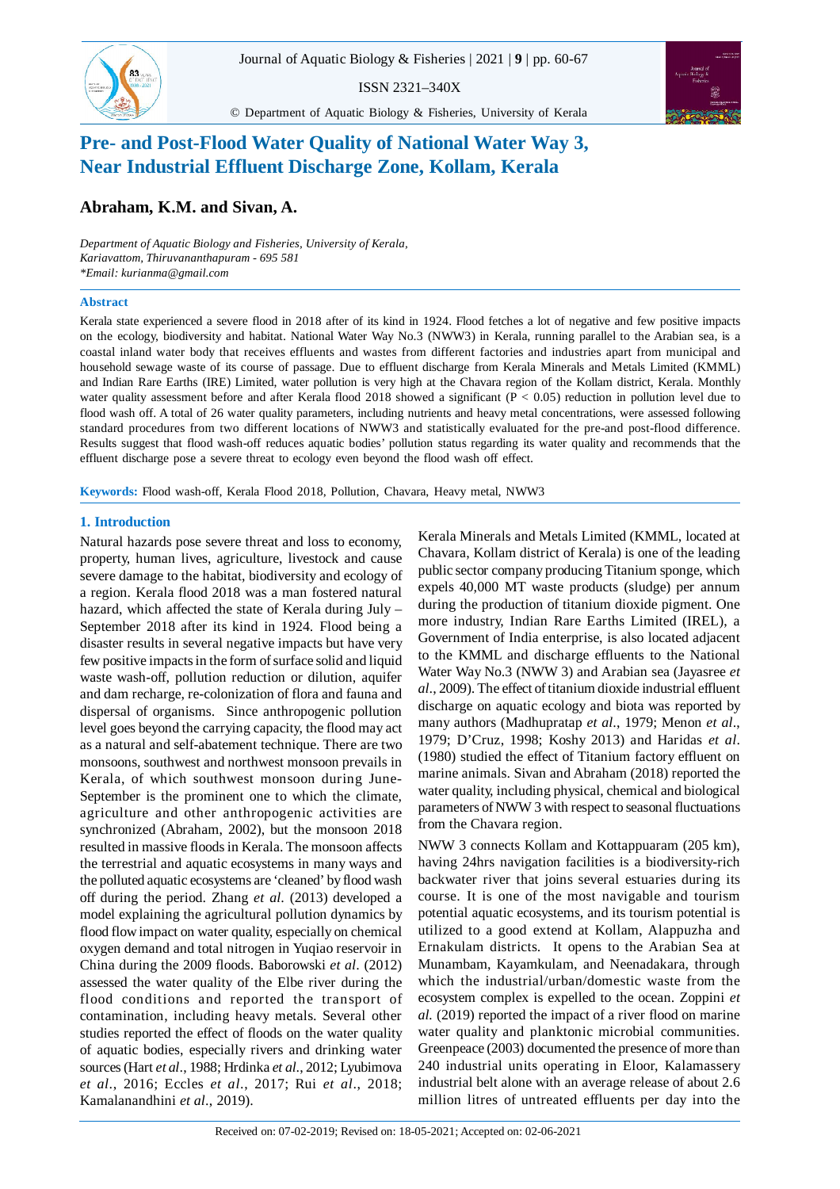ISSN 2321–340X





© Department of Aquatic Biology & Fisheries, University of Kerala

# **Pre- and Post-Flood Water Quality of National Water Way 3, Near Industrial Effluent Discharge Zone, Kollam, Kerala**

# **Abraham, K.M. and Sivan, A.**

*Department of Aquatic Biology and Fisheries, University of Kerala, Kariavattom, Thiruvananthapuram - 695 581 \*Email: kurianma@gmail.com*

## **Abstract**

Kerala state experienced a severe flood in 2018 after of its kind in 1924. Flood fetches a lot of negative and few positive impacts on the ecology, biodiversity and habitat. National Water Way No.3 (NWW3) in Kerala, running parallel to the Arabian sea, is a coastal inland water body that receives effluents and wastes from different factories and industries apart from municipal and household sewage waste of its course of passage. Due to effluent discharge from Kerala Minerals and Metals Limited (KMML) and Indian Rare Earths (IRE) Limited, water pollution is very high at the Chavara region of the Kollam district, Kerala. Monthly water quality assessment before and after Kerala flood 2018 showed a significant ( $P < 0.05$ ) reduction in pollution level due to flood wash off. A total of 26 water quality parameters, including nutrients and heavy metal concentrations, were assessed following standard procedures from two different locations of NWW3 and statistically evaluated for the pre-and post-flood difference. Results suggest that flood wash-off reduces aquatic bodies' pollution status regarding its water quality and recommends that the effluent discharge pose a severe threat to ecology even beyond the flood wash off effect.

**Keywords:** Flood wash-off, Kerala Flood 2018, Pollution, Chavara, Heavy metal, NWW3

# **1. Introduction**

Natural hazards pose severe threat and loss to economy, property, human lives, agriculture, livestock and cause severe damage to the habitat, biodiversity and ecology of a region. Kerala flood 2018 was a man fostered natural hazard, which affected the state of Kerala during July – September 2018 after its kind in 1924. Flood being a disaster results in several negative impacts but have very few positive impacts in the form of surface solid and liquid waste wash-off, pollution reduction or dilution, aquifer and dam recharge, re-colonization of flora and fauna and dispersal of organisms. Since anthropogenic pollution level goes beyond the carrying capacity, the flood may act as a natural and self-abatement technique. There are two monsoons, southwest and northwest monsoon prevails in Kerala, of which southwest monsoon during June-September is the prominent one to which the climate, agriculture and other anthropogenic activities are synchronized (Abraham, 2002), but the monsoon 2018 resulted in massive floods in Kerala. The monsoon affects the terrestrial and aquatic ecosystems in many ways and the polluted aquatic ecosystems are 'cleaned' by flood wash off during the period. Zhang *et al*. (2013) developed a model explaining the agricultural pollution dynamics by flood flow impact on water quality, especially on chemical oxygen demand and total nitrogen in Yuqiao reservoir in China during the 2009 floods. Baborowski *et al*. (2012) assessed the water quality of the Elbe river during the flood conditions and reported the transport of contamination, including heavy metals. Several other studies reported the effect of floods on the water quality of aquatic bodies, especially rivers and drinking water sources (Hart *et al*., 1988; Hrdinka *et al*., 2012; Lyubimova *et al*., 2016; Eccles *et al*., 2017; Rui *et al*., 2018; Kamalanandhini *et al*., 2019).

Kerala Minerals and Metals Limited (KMML, located at Chavara, Kollam district of Kerala) is one of the leading public sector company producing Titanium sponge, which expels 40,000 MT waste products (sludge) per annum during the production of titanium dioxide pigment. One more industry, Indian Rare Earths Limited (IREL), a Government of India enterprise, is also located adjacent to the KMML and discharge effluents to the National Water Way No.3 (NWW 3) and Arabian sea (Jayasree *et al*., 2009). The effect of titanium dioxide industrial effluent discharge on aquatic ecology and biota was reported by many authors (Madhupratap *et al*., 1979; Menon *et al*., 1979; D'Cruz, 1998; Koshy 2013) and Haridas *et al*. (1980) studied the effect of Titanium factory effluent on marine animals. Sivan and Abraham (2018) reported the water quality, including physical, chemical and biological parameters of NWW 3 with respect to seasonal fluctuations from the Chavara region.

NWW 3 connects Kollam and Kottappuaram (205 km), having 24hrs navigation facilities is a biodiversity-rich backwater river that joins several estuaries during its course. It is one of the most navigable and tourism potential aquatic ecosystems, and its tourism potential is utilized to a good extend at Kollam, Alappuzha and Ernakulam districts. It opens to the Arabian Sea at Munambam, Kayamkulam, and Neenadakara, through which the industrial/urban/domestic waste from the ecosystem complex is expelled to the ocean. Zoppini *et al.* (2019) reported the impact of a river flood on marine water quality and planktonic microbial communities. Greenpeace (2003) documented the presence of more than 240 industrial units operating in Eloor, Kalamassery industrial belt alone with an average release of about 2.6 million litres of untreated effluents per day into the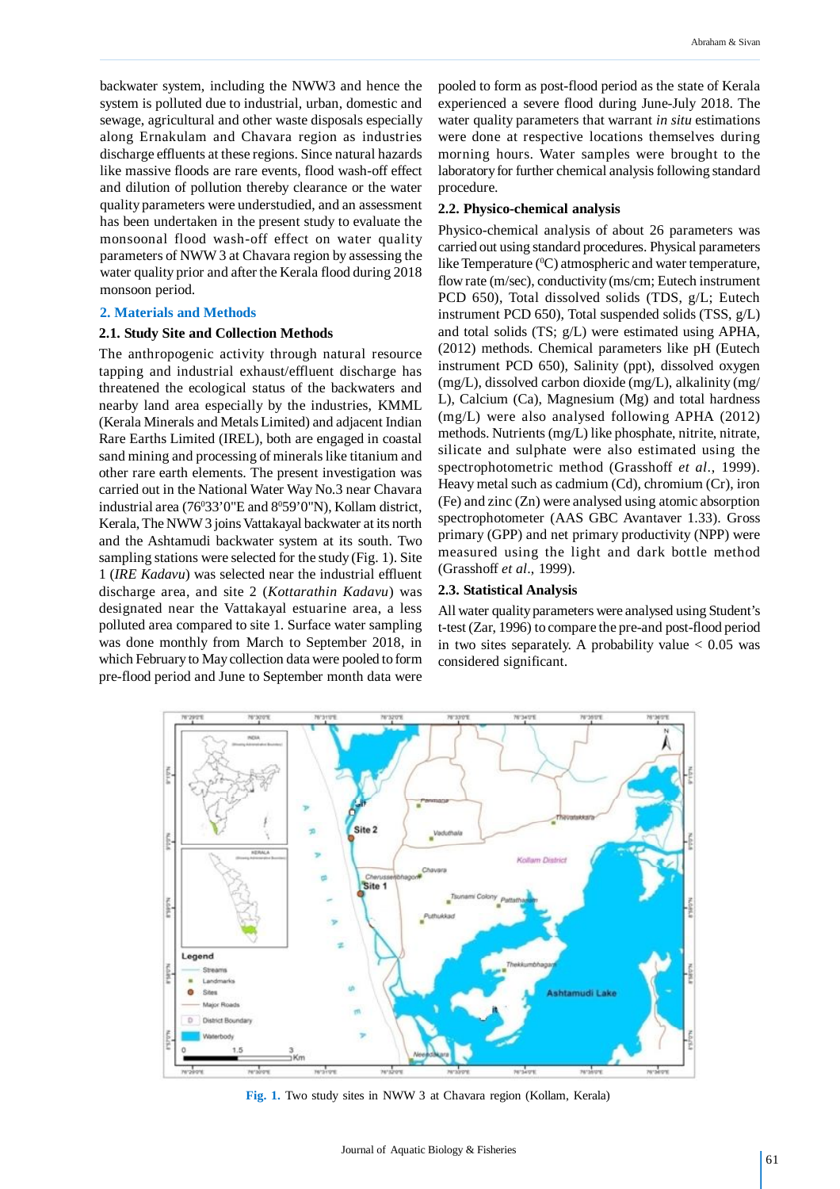backwater system, including the NWW3 and hence the system is polluted due to industrial, urban, domestic and sewage, agricultural and other waste disposals especially along Ernakulam and Chavara region as industries discharge effluents at these regions. Since natural hazards like massive floods are rare events, flood wash-off effect and dilution of pollution thereby clearance or the water quality parameters were understudied, and an assessment has been undertaken in the present study to evaluate the monsoonal flood wash-off effect on water quality parameters of NWW 3 at Chavara region by assessing the water quality prior and after the Kerala flood during 2018 monsoon period.

#### **2. Materials and Methods**

### **2.1. Study Site and Collection Methods**

The anthropogenic activity through natural resource tapping and industrial exhaust/effluent discharge has threatened the ecological status of the backwaters and nearby land area especially by the industries, KMML (Kerala Minerals and Metals Limited) and adjacent Indian Rare Earths Limited (IREL), both are engaged in coastal sand mining and processing of minerals like titanium and other rare earth elements. The present investigation was carried out in the National Water Way No.3 near Chavara industrial area (76°33'0"E and 8°59'0"N), Kollam district, Kerala, The NWW 3 joins Vattakayal backwater at its north and the Ashtamudi backwater system at its south. Two sampling stations were selected for the study (Fig. 1). Site 1 (*IRE Kadavu*) was selected near the industrial effluent discharge area, and site 2 (*Kottarathin Kadavu*) was designated near the Vattakayal estuarine area, a less polluted area compared to site 1. Surface water sampling was done monthly from March to September 2018, in which February to May collection data were pooled to form pre-flood period and June to September month data were

pooled to form as post-flood period as the state of Kerala experienced a severe flood during June-July 2018. The water quality parameters that warrant *in situ* estimations were done at respective locations themselves during morning hours. Water samples were brought to the laboratory for further chemical analysis following standard procedure.

### **2.2. Physico-chemical analysis**

Physico-chemical analysis of about 26 parameters was carried out using standard procedures. Physical parameters like Temperature  $({}^{0}C)$  atmospheric and water temperature, flow rate (m/sec), conductivity (ms/cm; Eutech instrument PCD 650), Total dissolved solids (TDS, g/L; Eutech instrument PCD 650), Total suspended solids (TSS, g/L) and total solids (TS; g/L) were estimated using APHA, (2012) methods. Chemical parameters like pH (Eutech instrument PCD 650), Salinity (ppt), dissolved oxygen (mg/L), dissolved carbon dioxide (mg/L), alkalinity (mg/ L), Calcium (Ca), Magnesium (Mg) and total hardness (mg/L) were also analysed following APHA (2012) methods. Nutrients (mg/L) like phosphate, nitrite, nitrate, silicate and sulphate were also estimated using the spectrophotometric method (Grasshoff *et al*., 1999). Heavy metal such as cadmium (Cd), chromium (Cr), iron (Fe) and zinc (Zn) were analysed using atomic absorption spectrophotometer (AAS GBC Avantaver 1.33). Gross primary (GPP) and net primary productivity (NPP) were measured using the light and dark bottle method (Grasshoff *et al*., 1999).

#### **2.3. Statistical Analysis**

All water quality parameters were analysed using Student's t-test (Zar, 1996) to compare the pre-and post-flood period in two sites separately. A probability value  $< 0.05$  was considered significant.



**Fig. 1.** Two study sites in NWW 3 at Chavara region (Kollam, Kerala)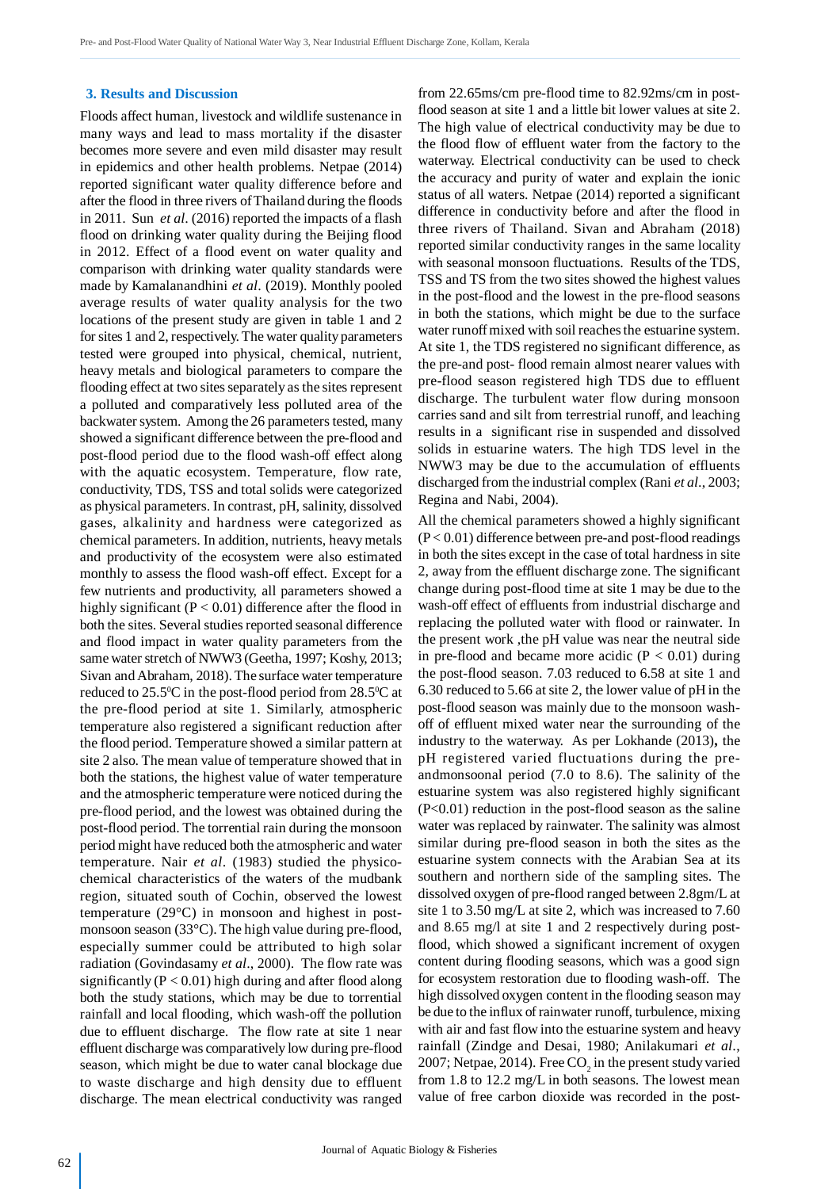#### **3. Results and Discussion**

Floods affect human, livestock and wildlife sustenance in many ways and lead to mass mortality if the disaster becomes more severe and even mild disaster may result in epidemics and other health problems. Netpae (2014) reported significant water quality difference before and after the flood in three rivers of Thailand during the floods in 2011. Sun *et al*. (2016) reported the impacts of a flash flood on drinking water quality during the Beijing flood in 2012. Effect of a flood event on water quality and comparison with drinking water quality standards were made by Kamalanandhini *et al*. (2019). Monthly pooled average results of water quality analysis for the two locations of the present study are given in table 1 and 2 for sites 1 and 2, respectively. The water quality parameters tested were grouped into physical, chemical, nutrient, heavy metals and biological parameters to compare the flooding effect at two sites separately as the sites represent a polluted and comparatively less polluted area of the backwater system. Among the 26 parameters tested, many showed a significant difference between the pre-flood and post-flood period due to the flood wash-off effect along with the aquatic ecosystem. Temperature, flow rate, conductivity, TDS, TSS and total solids were categorized as physical parameters. In contrast, pH, salinity, dissolved gases, alkalinity and hardness were categorized as chemical parameters. In addition, nutrients, heavy metals and productivity of the ecosystem were also estimated monthly to assess the flood wash-off effect. Except for a few nutrients and productivity, all parameters showed a highly significant ( $P < 0.01$ ) difference after the flood in both the sites. Several studies reported seasonal difference and flood impact in water quality parameters from the same water stretch of NWW3 (Geetha, 1997; Koshy, 2013; Sivan and Abraham, 2018). The surface water temperature reduced to  $25.5^{\circ}$ C in the post-flood period from  $28.5^{\circ}$ C at the pre-flood period at site 1. Similarly, atmospheric temperature also registered a significant reduction after the flood period. Temperature showed a similar pattern at site 2 also. The mean value of temperature showed that in both the stations, the highest value of water temperature and the atmospheric temperature were noticed during the pre-flood period, and the lowest was obtained during the post-flood period. The torrential rain during the monsoon period might have reduced both the atmospheric and water temperature. Nair *et al*. (1983) studied the physicochemical characteristics of the waters of the mudbank region, situated south of Cochin, observed the lowest temperature (29°C) in monsoon and highest in postmonsoon season (33°C). The high value during pre-flood, especially summer could be attributed to high solar radiation (Govindasamy *et al*., 2000). The flow rate was significantly ( $P < 0.01$ ) high during and after flood along both the study stations, which may be due to torrential rainfall and local flooding, which wash-off the pollution due to effluent discharge. The flow rate at site 1 near effluent discharge was comparatively low during pre-flood season, which might be due to water canal blockage due to waste discharge and high density due to effluent discharge. The mean electrical conductivity was ranged from 22.65ms/cm pre-flood time to 82.92ms/cm in postflood season at site 1 and a little bit lower values at site 2. The high value of electrical conductivity may be due to the flood flow of effluent water from the factory to the waterway. Electrical conductivity can be used to check the accuracy and purity of water and explain the ionic status of all waters. Netpae (2014) reported a significant difference in conductivity before and after the flood in three rivers of Thailand. Sivan and Abraham (2018) reported similar conductivity ranges in the same locality with seasonal monsoon fluctuations. Results of the TDS, TSS and TS from the two sites showed the highest values in the post-flood and the lowest in the pre-flood seasons in both the stations, which might be due to the surface water runoff mixed with soil reaches the estuarine system. At site 1, the TDS registered no significant difference, as the pre-and post- flood remain almost nearer values with pre-flood season registered high TDS due to effluent discharge. The turbulent water flow during monsoon carries sand and silt from terrestrial runoff, and leaching results in a significant rise in suspended and dissolved solids in estuarine waters. The high TDS level in the NWW3 may be due to the accumulation of effluents discharged from the industrial complex (Rani *et al*., 2003; Regina and Nabi, 2004).

All the chemical parameters showed a highly significant  $(P< 0.01)$  difference between pre-and post-flood readings in both the sites except in the case of total hardness in site 2, away from the effluent discharge zone. The significant change during post-flood time at site 1 may be due to the wash-off effect of effluents from industrial discharge and replacing the polluted water with flood or rainwater. In the present work ,the pH value was near the neutral side in pre-flood and became more acidic  $(P < 0.01)$  during the post-flood season. 7.03 reduced to 6.58 at site 1 and 6.30 reduced to 5.66 at site 2, the lower value of pH in the post-flood season was mainly due to the monsoon washoff of effluent mixed water near the surrounding of the industry to the waterway. As per Lokhande (2013)**,** the pH registered varied fluctuations during the preandmonsoonal period (7.0 to 8.6). The salinity of the estuarine system was also registered highly significant  $(P<0.01)$  reduction in the post-flood season as the saline water was replaced by rainwater. The salinity was almost similar during pre-flood season in both the sites as the estuarine system connects with the Arabian Sea at its southern and northern side of the sampling sites. The dissolved oxygen of pre-flood ranged between 2.8gm/L at site 1 to 3.50 mg/L at site 2, which was increased to 7.60 and 8.65 mg/l at site 1 and 2 respectively during postflood, which showed a significant increment of oxygen content during flooding seasons, which was a good sign for ecosystem restoration due to flooding wash-off. The high dissolved oxygen content in the flooding season may be due to the influx of rainwater runoff, turbulence, mixing with air and fast flow into the estuarine system and heavy rainfall (Zindge and Desai, 1980; Anilakumari *et al*., 2007; Netpae, 2014). Free  $\mathrm{CO}_2$  in the present study varied from 1.8 to 12.2 mg/L in both seasons. The lowest mean value of free carbon dioxide was recorded in the post-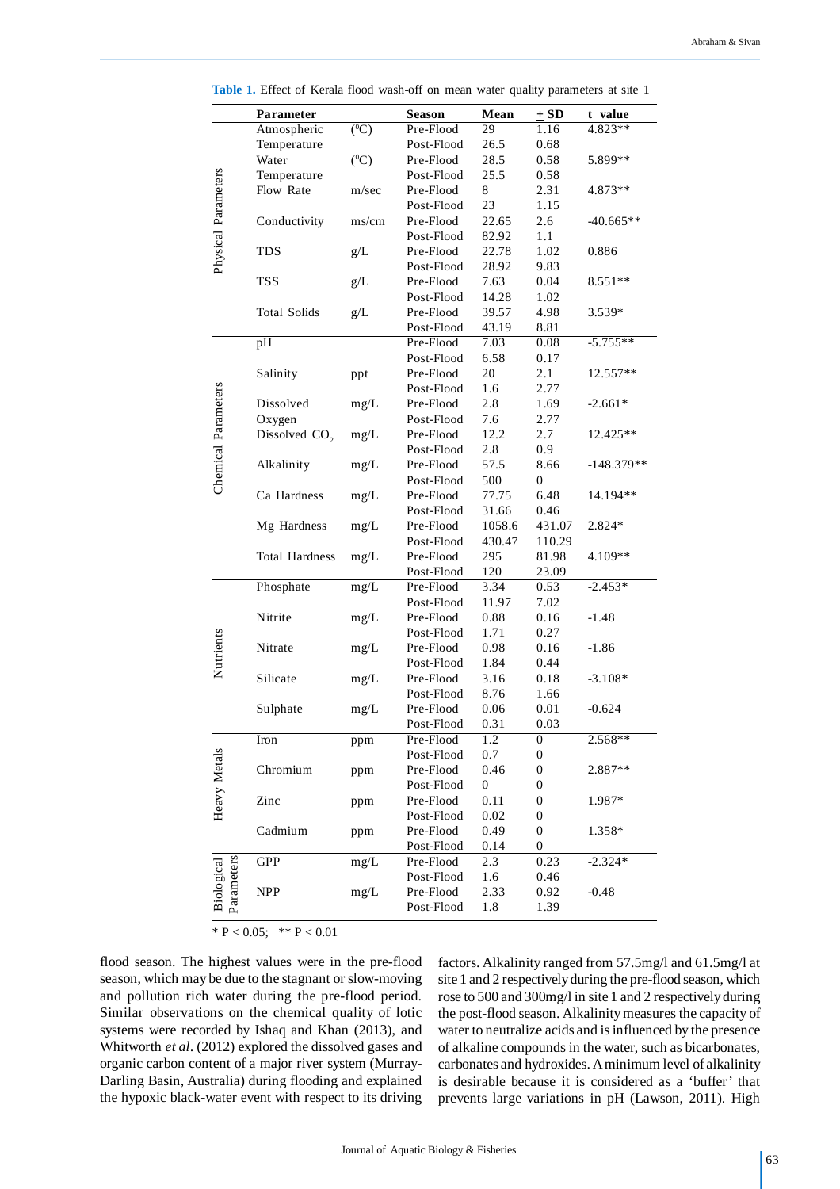|                          | Parameter                 |         | <b>Season</b> | Mean             | $\pm$ SD         | t value      |
|--------------------------|---------------------------|---------|---------------|------------------|------------------|--------------|
| Physical Parameters      | Atmospheric               | $(^0C)$ | Pre-Flood     | 29               | 1.16             | 4.823**      |
|                          | Temperature               |         | Post-Flood    | 26.5             | 0.68             |              |
|                          | Water                     | $(^0C)$ | Pre-Flood     | 28.5             | 0.58             | 5.899**      |
|                          | Temperature               |         | Post-Flood    | 25.5             | 0.58             |              |
|                          | Flow Rate                 | m/sec   | Pre-Flood     | 8                | 2.31             | 4.873**      |
|                          |                           |         | Post-Flood    | 23               | 1.15             |              |
|                          | Conductivity              | ms/cm   | Pre-Flood     | 22.65            | 2.6              | $-40.665**$  |
|                          |                           |         | Post-Flood    | 82.92            | 1.1              |              |
|                          | <b>TDS</b>                | g/L     | Pre-Flood     | 22.78            | 1.02             | 0.886        |
|                          |                           |         | Post-Flood    | 28.92            | 9.83             |              |
|                          | <b>TSS</b>                | g/L     | Pre-Flood     | 7.63             | 0.04             | 8.551**      |
|                          |                           |         | Post-Flood    | 14.28            | 1.02             |              |
|                          | <b>Total Solids</b>       | g/L     | Pre-Flood     | 39.57            | 4.98             | 3.539*       |
|                          |                           |         | Post-Flood    | 43.19            | 8.81             |              |
|                          | pH                        |         | Pre-Flood     | 7.03             | 0.08             | $-5.755**$   |
|                          |                           |         | Post-Flood    | 6.58             | 0.17             |              |
|                          | Salinity                  | ppt     | Pre-Flood     | 20               | 2.1              | 12.557**     |
|                          |                           |         | Post-Flood    | 1.6              | 2.77             |              |
|                          | Dissolved                 | mg/L    | Pre-Flood     | 2.8              | 1.69             | $-2.661*$    |
|                          | Oxygen                    |         | Post-Flood    | 7.6              | 2.77             |              |
| Chemical Parameters      | Dissolved CO <sub>2</sub> | mg/L    | Pre-Flood     | 12.2             | 2.7              | 12.425**     |
|                          |                           |         | Post-Flood    | 2.8              | 0.9              |              |
|                          | Alkalinity                | mg/L    | Pre-Flood     | 57.5             | 8.66             | $-148.379**$ |
|                          |                           |         | Post-Flood    | 500              | 0                |              |
|                          | Ca Hardness               | mg/L    | Pre-Flood     | 77.75            | 6.48             | 14.194**     |
|                          |                           |         | Post-Flood    | 31.66            | 0.46             |              |
|                          | Mg Hardness               | mg/L    | Pre-Flood     | 1058.6           | 431.07           | 2.824*       |
|                          |                           |         | Post-Flood    | 430.47           | 110.29           |              |
|                          | <b>Total Hardness</b>     | mg/L    | Pre-Flood     | 295              | 81.98            | 4.109**      |
|                          |                           |         | Post-Flood    | 120              | 23.09            |              |
| Nutrients                | Phosphate                 | mg/L    | Pre-Flood     | 3.34             | 0.53             | $-2.453*$    |
|                          |                           |         | Post-Flood    | 11.97            | 7.02             |              |
|                          | Nitrite                   | mg/L    | Pre-Flood     | 0.88             | 0.16             | $-1.48$      |
|                          |                           |         | Post-Flood    | 1.71             | 0.27             |              |
|                          | Nitrate                   | mg/L    | Pre-Flood     | 0.98             | 0.16             | $-1.86$      |
|                          |                           |         | Post-Flood    | 1.84             | 0.44             |              |
|                          | Silicate                  | mg/L    | Pre-Flood     | 3.16             | 0.18             | $-3.108*$    |
|                          |                           |         | Post-Flood    | 8.76             | 1.66             |              |
|                          | Sulphate                  | mg/L    | Pre-Flood     | 0.06             | 0.01             | $-0.624$     |
|                          |                           |         | Post-Flood    | 0.31             | 0.03             |              |
|                          | Iron                      |         | Pre-Flood     | 1.2              | $\overline{0}$   | $2.568**$    |
| Heavy Metals             |                           | ppm     | Post-Flood    | 0.7              | $\boldsymbol{0}$ |              |
|                          | Chromium                  |         | Pre-Flood     | 0.46             | 0                | 2.887**      |
|                          |                           | ppm     | Post-Flood    | $\boldsymbol{0}$ | 0                |              |
|                          |                           |         |               |                  |                  |              |
|                          | Zinc                      | ppm     | Pre-Flood     | 0.11             | $\boldsymbol{0}$ | 1.987*       |
|                          |                           |         | Post-Flood    | $0.02\,$         | $\boldsymbol{0}$ |              |
|                          | Cadmium                   | ppm     | Pre-Flood     | 0.49             | $\boldsymbol{0}$ | 1.358*       |
| Parameters<br>Biological |                           |         | Post-Flood    | 0.14             | $\boldsymbol{0}$ |              |
|                          | GPP                       | mg/L    | Pre-Flood     | 2.3              | 0.23             | $-2.324*$    |
|                          |                           |         | Post-Flood    | 1.6              | 0.46             |              |
|                          | <b>NPP</b>                | mg/L    | Pre-Flood     | 2.33             | 0.92             | $-0.48$      |
|                          |                           |         | Post-Flood    | 1.8              | 1.39             |              |
| * $P < 0.05$ ;           | ** $P < 0.01$             |         |               |                  |                  |              |

**Table 1.** Effect of Kerala flood wash-off on mean water quality parameters at site 1

flood season. The highest values were in the pre-flood season, which may be due to the stagnant or slow-moving and pollution rich water during the pre-flood period. Similar observations on the chemical quality of lotic systems were recorded by Ishaq and Khan (2013), and Whitworth *et al*. (2012) explored the dissolved gases and organic carbon content of a major river system (Murray-Darling Basin, Australia) during flooding and explained the hypoxic black-water event with respect to its driving factors. Alkalinity ranged from 57.5mg/l and 61.5mg/l at site 1 and 2 respectively during the pre-flood season, which rose to 500 and 300mg/l in site 1 and 2 respectively during the post-flood season. Alkalinity measures the capacity of water to neutralize acids and is influenced by the presence of alkaline compounds in the water, such as bicarbonates, carbonates and hydroxides. A minimum level of alkalinity is desirable because it is considered as a 'buffer' that prevents large variations in pH (Lawson, 2011). High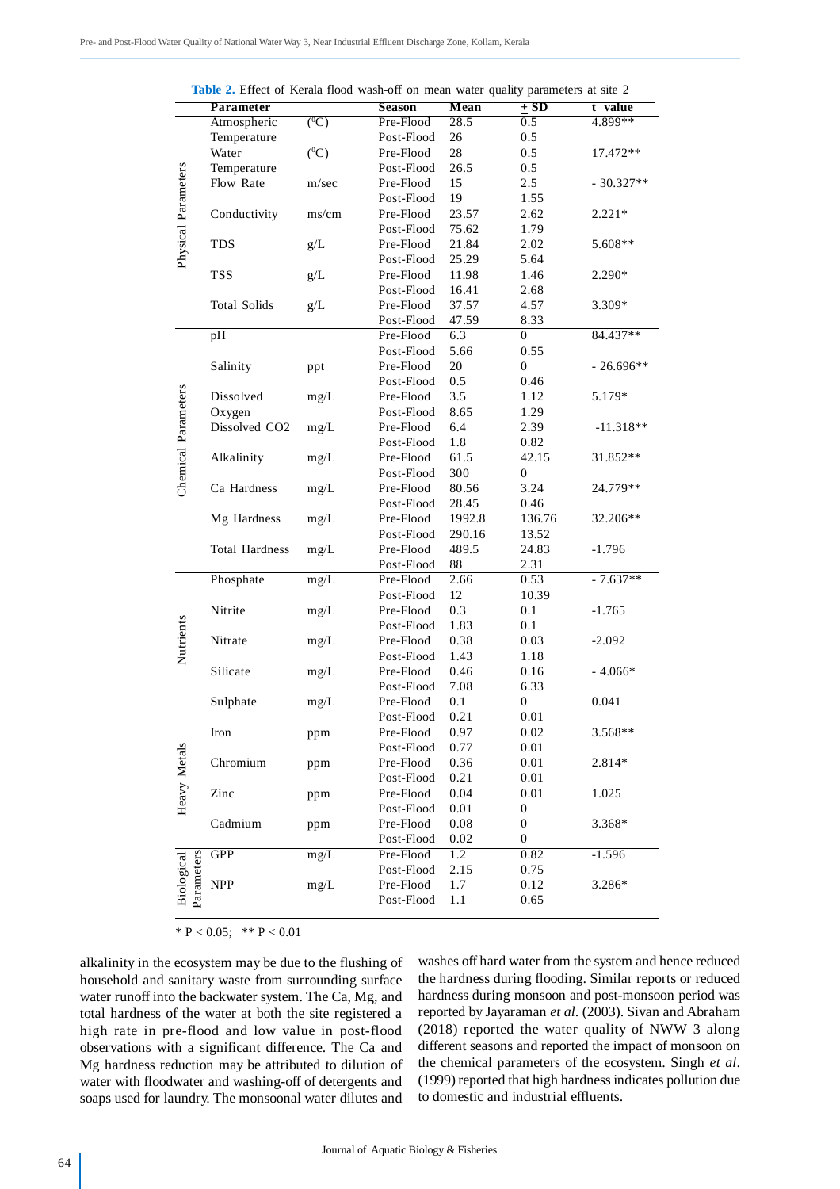|                          | $\frac{1}{2}$ . Effect of Kerala Hood wash-old on fileall water quality parameters at site $\frac{1}{2}$ |                      |               |             |                  |             |
|--------------------------|----------------------------------------------------------------------------------------------------------|----------------------|---------------|-------------|------------------|-------------|
|                          | <b>Parameter</b>                                                                                         |                      | <b>Season</b> | <b>Mean</b> | $\pm$ SD         | t value     |
| Physical Parameters      | Atmospheric                                                                                              | $\overline{({}^0C)}$ | Pre-Flood     | 28.5        | 0.5              | $4.899**$   |
|                          | Temperature                                                                                              |                      | Post-Flood    | 26          | 0.5              |             |
|                          | Water                                                                                                    | $(^0C)$              | Pre-Flood     | 28          | 0.5              | 17.472**    |
|                          | Temperature                                                                                              |                      | Post-Flood    | 26.5        | 0.5              |             |
|                          | Flow Rate                                                                                                | m/sec                | Pre-Flood     | 15          | 2.5              | $-30.327**$ |
|                          |                                                                                                          |                      | Post-Flood    | 19          | 1.55             |             |
|                          | Conductivity                                                                                             | ms/cm                | Pre-Flood     | 23.57       | 2.62             | $2.221*$    |
|                          |                                                                                                          |                      | Post-Flood    | 75.62       | 1.79             |             |
|                          | <b>TDS</b>                                                                                               | $g/L$                | Pre-Flood     | 21.84       | 2.02             | 5.608**     |
|                          |                                                                                                          |                      | Post-Flood    | 25.29       | 5.64             |             |
|                          | <b>TSS</b>                                                                                               | $g/L$                | Pre-Flood     | 11.98       | 1.46             | 2.290*      |
|                          |                                                                                                          |                      | Post-Flood    | 16.41       | 2.68             |             |
|                          | <b>Total Solids</b>                                                                                      | g/L                  | Pre-Flood     | 37.57       | 4.57             | 3.309*      |
|                          |                                                                                                          |                      | Post-Flood    | 47.59       | 8.33             |             |
|                          | pH                                                                                                       |                      | Pre-Flood     | 6.3         | $\mathbf{0}$     | 84.437**    |
|                          |                                                                                                          |                      | Post-Flood    | 5.66        | 0.55             |             |
|                          | Salinity                                                                                                 | ppt                  | Pre-Flood     | 20          | $\boldsymbol{0}$ | $-26.696**$ |
|                          |                                                                                                          |                      | Post-Flood    | 0.5         | 0.46             |             |
|                          | Dissolved                                                                                                | mg/L                 | Pre-Flood     | 3.5         | 1.12             | 5.179*      |
|                          | Oxygen                                                                                                   |                      | Post-Flood    | 8.65        | 1.29             |             |
|                          | Dissolved CO <sub>2</sub>                                                                                | mg/L                 | Pre-Flood     | 6.4         | 2.39             | $-11.318**$ |
|                          |                                                                                                          |                      | Post-Flood    | 1.8         | 0.82             |             |
|                          | Alkalinity                                                                                               | mg/L                 | Pre-Flood     | 61.5        | 42.15            | 31.852**    |
|                          |                                                                                                          |                      | Post-Flood    | 300         | $\boldsymbol{0}$ |             |
| Chemical Parameters      | Ca Hardness                                                                                              | mg/L                 | Pre-Flood     | 80.56       | 3.24             | 24.779**    |
|                          |                                                                                                          |                      | Post-Flood    | 28.45       | 0.46             |             |
|                          | Mg Hardness                                                                                              | mg/L                 | Pre-Flood     | 1992.8      | 136.76           | 32.206**    |
|                          |                                                                                                          |                      | Post-Flood    | 290.16      | 13.52            |             |
|                          | <b>Total Hardness</b>                                                                                    | mg/L                 | Pre-Flood     | 489.5       | 24.83            | $-1.796$    |
|                          |                                                                                                          |                      | Post-Flood    | 88          | 2.31             |             |
|                          | Phosphate                                                                                                | mg/L                 | Pre-Flood     | 2.66        | 0.53             | $-7.637**$  |
|                          |                                                                                                          |                      | Post-Flood    | 12          | 10.39            |             |
|                          | Nitrite                                                                                                  | mg/L                 | Pre-Flood     | 0.3         | 0.1              | $-1.765$    |
| Nutrients                |                                                                                                          |                      | Post-Flood    | 1.83        | 0.1              |             |
|                          | Nitrate                                                                                                  | mg/L                 | Pre-Flood     | 0.38        | 0.03             | $-2.092$    |
|                          |                                                                                                          |                      | Post-Flood    | 1.43        | 1.18             |             |
|                          | Silicate                                                                                                 | mg/L                 | Pre-Flood     | 0.46        | 0.16             | $-4.066*$   |
|                          |                                                                                                          |                      | Post-Flood    | 7.08        | 6.33             |             |
|                          | Sulphate                                                                                                 | mg/L                 | Pre-Flood     | 0.1         | $\boldsymbol{0}$ | 0.041       |
|                          |                                                                                                          |                      | Post-Flood    | 0.21        | 0.01             |             |
| Heavy Metals             | Iron                                                                                                     | ppm                  | Pre-Flood     | 0.97        | 0.02             | 3.568**     |
|                          |                                                                                                          |                      | Post-Flood    | 0.77        | 0.01             |             |
|                          | Chromium                                                                                                 | ppm                  | Pre-Flood     | 0.36        | 0.01             | 2.814*      |
|                          |                                                                                                          |                      | Post-Flood    | 0.21        | 0.01             |             |
|                          | Zinc                                                                                                     | ppm                  | Pre-Flood     | 0.04        | 0.01             | 1.025       |
|                          |                                                                                                          |                      | Post-Flood    | 0.01        | $\boldsymbol{0}$ |             |
|                          | Cadmium                                                                                                  | ppm                  | Pre-Flood     | 0.08        | $\boldsymbol{0}$ | 3.368*      |
|                          |                                                                                                          |                      | Post-Flood    | 0.02        | $\boldsymbol{0}$ |             |
| Parameters<br>Biological | GPP                                                                                                      | mg/L                 | Pre-Flood     | 1.2         | 0.82             | $-1.596$    |
|                          |                                                                                                          |                      | Post-Flood    | 2.15        | 0.75             |             |
|                          | <b>NPP</b>                                                                                               | mg/L                 | Pre-Flood     | 1.7         | 0.12             | 3.286*      |
|                          |                                                                                                          |                      | Post-Flood    | 1.1         | 0.65             |             |
|                          |                                                                                                          |                      |               |             |                  |             |

**Table 2.** Effect of Kerala flood wash-off on mean water quality parameters at site 2

alkalinity in the ecosystem may be due to the flushing of household and sanitary waste from surrounding surface water runoff into the backwater system. The Ca, Mg, and total hardness of the water at both the site registered a high rate in pre-flood and low value in post-flood observations with a significant difference. The Ca and Mg hardness reduction may be attributed to dilution of water with floodwater and washing-off of detergents and soaps used for laundry. The monsoonal water dilutes and washes off hard water from the system and hence reduced the hardness during flooding. Similar reports or reduced hardness during monsoon and post-monsoon period was reported by Jayaraman *et al*. (2003). Sivan and Abraham (2018) reported the water quality of NWW 3 along different seasons and reported the impact of monsoon on the chemical parameters of the ecosystem. Singh *et al*. (1999) reported that high hardness indicates pollution due to domestic and industrial effluents.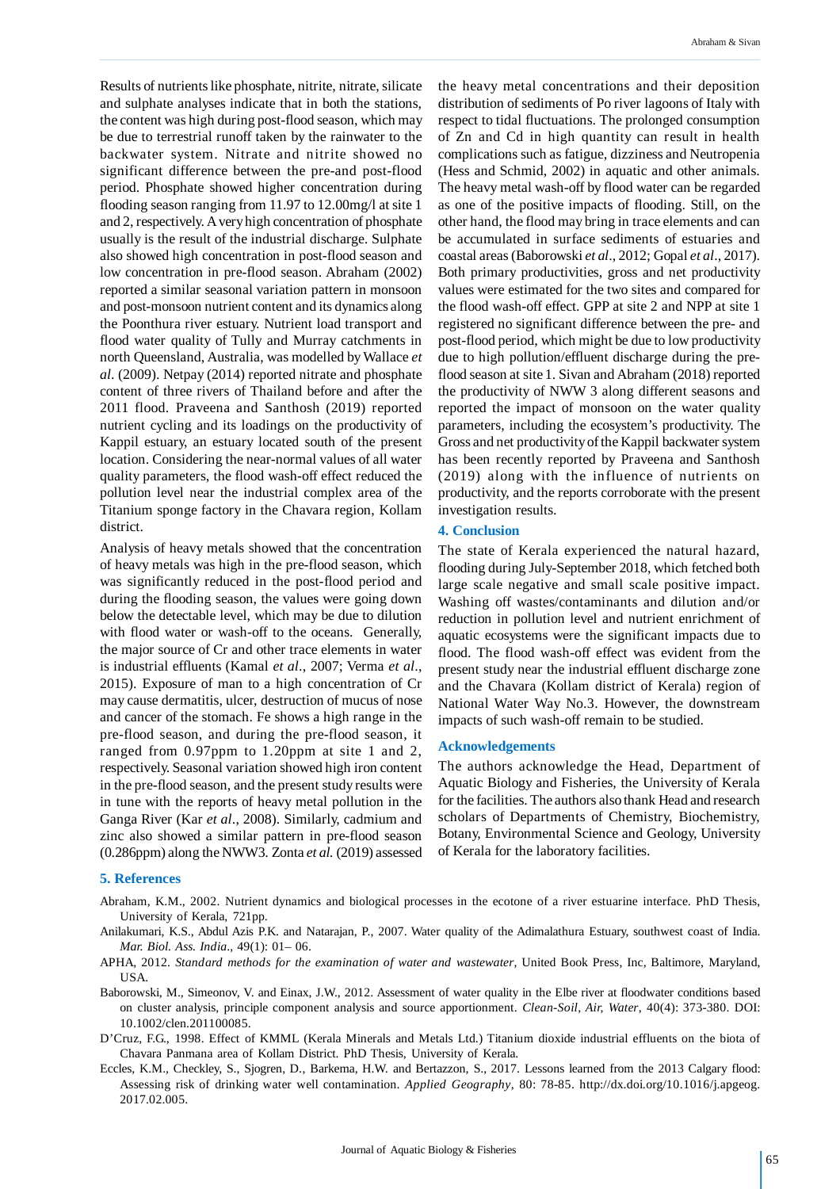Results of nutrients like phosphate, nitrite, nitrate, silicate and sulphate analyses indicate that in both the stations, the content was high during post-flood season, which may be due to terrestrial runoff taken by the rainwater to the backwater system. Nitrate and nitrite showed no significant difference between the pre-and post-flood period. Phosphate showed higher concentration during flooding season ranging from 11.97 to 12.00mg/l at site 1 and 2, respectively. A very high concentration of phosphate usually is the result of the industrial discharge. Sulphate also showed high concentration in post-flood season and low concentration in pre-flood season. Abraham (2002) reported a similar seasonal variation pattern in monsoon and post-monsoon nutrient content and its dynamics along the Poonthura river estuary. Nutrient load transport and flood water quality of Tully and Murray catchments in north Queensland, Australia, was modelled by Wallace *et al*. (2009). Netpay (2014) reported nitrate and phosphate content of three rivers of Thailand before and after the 2011 flood. Praveena and Santhosh (2019) reported nutrient cycling and its loadings on the productivity of Kappil estuary, an estuary located south of the present location. Considering the near-normal values of all water quality parameters, the flood wash-off effect reduced the pollution level near the industrial complex area of the Titanium sponge factory in the Chavara region, Kollam district.

Analysis of heavy metals showed that the concentration of heavy metals was high in the pre-flood season, which was significantly reduced in the post-flood period and during the flooding season, the values were going down below the detectable level, which may be due to dilution with flood water or wash-off to the oceans. Generally, the major source of Cr and other trace elements in water is industrial effluents (Kamal *et al*., 2007; Verma *et al*., 2015). Exposure of man to a high concentration of Cr may cause dermatitis, ulcer, destruction of mucus of nose and cancer of the stomach. Fe shows a high range in the pre-flood season, and during the pre-flood season, it ranged from 0.97ppm to 1.20ppm at site 1 and 2, respectively. Seasonal variation showed high iron content in the pre-flood season, and the present study results were in tune with the reports of heavy metal pollution in the Ganga River (Kar *et al*., 2008). Similarly, cadmium and zinc also showed a similar pattern in pre-flood season (0.286ppm) along the NWW3. Zonta *et al.* (2019) assessed the heavy metal concentrations and their deposition distribution of sediments of Po river lagoons of Italy with respect to tidal fluctuations. The prolonged consumption of Zn and Cd in high quantity can result in health complications such as fatigue, dizziness and Neutropenia (Hess and Schmid, 2002) in aquatic and other animals. The heavy metal wash-off by flood water can be regarded as one of the positive impacts of flooding. Still, on the other hand, the flood may bring in trace elements and can be accumulated in surface sediments of estuaries and coastal areas (Baborowski *et al*., 2012; Gopal *et al*., 2017). Both primary productivities, gross and net productivity values were estimated for the two sites and compared for the flood wash-off effect. GPP at site 2 and NPP at site 1 registered no significant difference between the pre- and post-flood period, which might be due to low productivity due to high pollution/effluent discharge during the preflood season at site 1. Sivan and Abraham (2018) reported the productivity of NWW 3 along different seasons and reported the impact of monsoon on the water quality parameters, including the ecosystem's productivity. The Gross and net productivity of the Kappil backwater system has been recently reported by Praveena and Santhosh (2019) along with the influence of nutrients on productivity, and the reports corroborate with the present investigation results.

#### **4. Conclusion**

The state of Kerala experienced the natural hazard, flooding during July-September 2018, which fetched both large scale negative and small scale positive impact. Washing off wastes/contaminants and dilution and/or reduction in pollution level and nutrient enrichment of aquatic ecosystems were the significant impacts due to flood. The flood wash-off effect was evident from the present study near the industrial effluent discharge zone and the Chavara (Kollam district of Kerala) region of National Water Way No.3. However, the downstream impacts of such wash-off remain to be studied.

#### **Acknowledgements**

The authors acknowledge the Head, Department of Aquatic Biology and Fisheries, the University of Kerala for the facilities. The authors also thank Head and research scholars of Departments of Chemistry, Biochemistry, Botany, Environmental Science and Geology, University of Kerala for the laboratory facilities.

#### **5. References**

- Abraham, K.M., 2002. Nutrient dynamics and biological processes in the ecotone of a river estuarine interface. PhD Thesis, University of Kerala, 721pp.
- Anilakumari, K.S., Abdul Azis P.K. and Natarajan, P., 2007. Water quality of the Adimalathura Estuary, southwest coast of India. *Mar. Biol. Ass. India*., 49(1): 01– 06.
- APHA, 2012. *Standard methods for the examination of water and wastewater*, United Book Press, Inc, Baltimore, Maryland, USA.
- Baborowski, M., Simeonov, V. and Einax, J.W., 2012. Assessment of water quality in the Elbe river at floodwater conditions based on cluster analysis, principle component analysis and source apportionment. *Clean-Soil, Air, Water*, 40(4): 373-380. DOI: 10.1002/clen.201100085.
- D'Cruz, F.G., 1998. Effect of KMML (Kerala Minerals and Metals Ltd.) Titanium dioxide industrial effluents on the biota of Chavara Panmana area of Kollam District. PhD Thesis, University of Kerala.
- Eccles, K.M., Checkley, S., Sjogren, D., Barkema, H.W. and Bertazzon, S., 2017. Lessons learned from the 2013 Calgary flood: Assessing risk of drinking water well contamination. *Applied Geography*, 80: 78-85. http://dx.doi.org/10.1016/j.apgeog. 2017.02.005.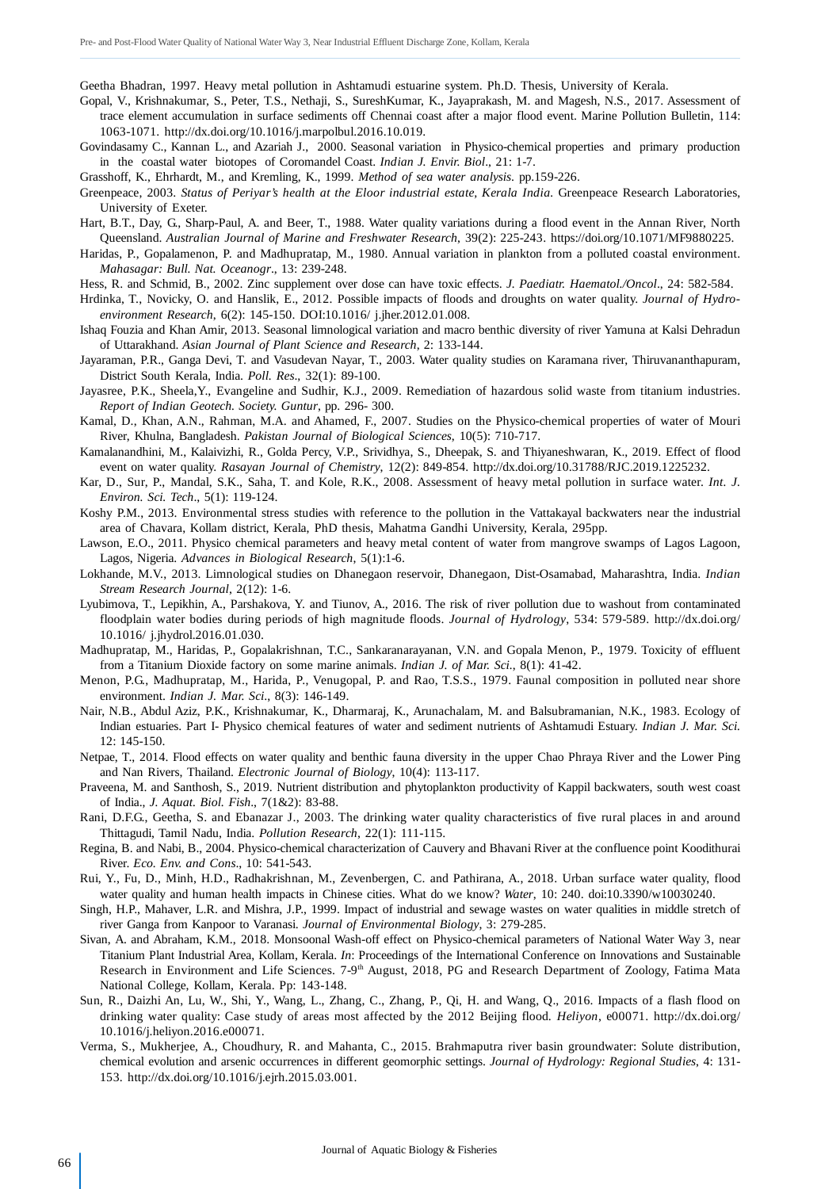Geetha Bhadran, 1997. Heavy metal pollution in Ashtamudi estuarine system. Ph.D. Thesis, University of Kerala.

- Gopal, V., Krishnakumar, S., Peter, T.S., Nethaji, S., SureshKumar, K., Jayaprakash, M. and Magesh, N.S., 2017. Assessment of trace element accumulation in surface sediments off Chennai coast after a major flood event. Marine Pollution Bulletin, 114: 1063-1071. http://dx.doi.org/10.1016/j.marpolbul.2016.10.019.
- Govindasamy C., Kannan L., and Azariah J., 2000. Seasonal variation in Physico-chemical properties and primary production in the coastal water biotopes of Coromandel Coast. *Indian J. Envir. Biol*., 21: 1-7.

Grasshoff, K., Ehrhardt, M., and Kremling, K., 1999. *Method of sea water analysis*. pp.159-226.

- Greenpeace, 2003. *Status of Periyar's health at the Eloor industrial estate, Kerala India.* Greenpeace Research Laboratories, University of Exeter.
- Hart, B.T., Day, G., Sharp-Paul, A. and Beer, T., 1988. Water quality variations during a flood event in the Annan River, North Queensland. *Australian Journal of Marine and Freshwater Research*, 39(2): 225-243. https://doi.org/10.1071/MF9880225.
- Haridas, P., Gopalamenon, P. and Madhupratap, M., 1980. Annual variation in plankton from a polluted coastal environment. *Mahasagar: Bull. Nat. Oceanogr*., 13: 239-248.
- Hess, R. and Schmid, B., 2002. Zinc supplement over dose can have toxic effects. *J. Paediatr. Haematol./Oncol*., 24: 582-584.
- Hrdinka, T., Novicky, O. and Hanslik, E., 2012. Possible impacts of floods and droughts on water quality. *Journal of Hydroenvironment Research*, 6(2): 145-150. DOI:10.1016/ j.jher.2012.01.008.
- Ishaq Fouzia and Khan Amir, 2013. Seasonal limnological variation and macro benthic diversity of river Yamuna at Kalsi Dehradun of Uttarakhand. *Asian Journal of Plant Science and Research*, 2: 133-144.
- Jayaraman, P.R., Ganga Devi, T. and Vasudevan Nayar, T., 2003. Water quality studies on Karamana river, Thiruvananthapuram, District South Kerala, India. *Poll. Res*., 32(1): 89-100.
- Jayasree, P.K., Sheela,Y., Evangeline and Sudhir, K.J., 2009. Remediation of hazardous solid waste from titanium industries. *Report of Indian Geotech. Society. Guntur*, pp. 296- 300.
- Kamal, D., Khan, A.N., Rahman, M.A. and Ahamed, F., 2007. Studies on the Physico-chemical properties of water of Mouri River, Khulna, Bangladesh. *Pakistan Journal of Biological Sciences*, 10(5): 710-717.
- Kamalanandhini, M., Kalaivizhi, R., Golda Percy, V.P., Srividhya, S., Dheepak, S. and Thiyaneshwaran, K., 2019. Effect of flood event on water quality. *Rasayan Journal of Chemistry*, 12(2): 849-854. http://dx.doi.org/10.31788/RJC.2019.1225232.
- Kar, D., Sur, P., Mandal, S.K., Saha, T. and Kole, R.K., 2008. Assessment of heavy metal pollution in surface water. *Int. J. Environ. Sci. Tech*., 5(1): 119-124.
- Koshy P.M., 2013. Environmental stress studies with reference to the pollution in the Vattakayal backwaters near the industrial area of Chavara, Kollam district, Kerala, PhD thesis, Mahatma Gandhi University, Kerala, 295pp.
- Lawson, E.O., 2011. Physico chemical parameters and heavy metal content of water from mangrove swamps of Lagos Lagoon, Lagos, Nigeria. *Advances in Biological Research*, 5(1):1-6.
- Lokhande, M.V., 2013. Limnological studies on Dhanegaon reservoir, Dhanegaon, Dist-Osamabad, Maharashtra, India. *Indian Stream Research Journal*, 2(12): 1-6.
- Lyubimova, T., Lepikhin, A., Parshakova, Y. and Tiunov, A., 2016. The risk of river pollution due to washout from contaminated floodplain water bodies during periods of high magnitude floods. *Journal of Hydrology*, 534: 579-589. http://dx.doi.org/ 10.1016/ j.jhydrol.2016.01.030.
- Madhupratap, M., Haridas, P., Gopalakrishnan, T.C., Sankaranarayanan, V.N. and Gopala Menon, P., 1979. Toxicity of effluent from a Titanium Dioxide factory on some marine animals. *Indian J. of Mar. Sci.*, 8(1): 41-42.
- Menon, P.G., Madhupratap, M., Harida, P., Venugopal, P. and Rao, T.S.S., 1979. Faunal composition in polluted near shore environment. *Indian J. Mar. Sci*., 8(3): 146-149.
- Nair, N.B., Abdul Aziz, P.K., Krishnakumar, K., Dharmaraj, K., Arunachalam, M. and Balsubramanian, N.K., 1983. Ecology of Indian estuaries. Part I- Physico chemical features of water and sediment nutrients of Ashtamudi Estuary. *Indian J. Mar. Sci.* 12: 145-150.
- Netpae, T., 2014. Flood effects on water quality and benthic fauna diversity in the upper Chao Phraya River and the Lower Ping and Nan Rivers, Thailand. *Electronic Journal of Biology*, 10(4): 113-117.
- Praveena, M. and Santhosh, S., 2019. Nutrient distribution and phytoplankton productivity of Kappil backwaters, south west coast of India., *J. Aquat. Biol. Fish*., 7(1&2): 83-88.
- Rani, D.F.G., Geetha, S. and Ebanazar J., 2003. The drinking water quality characteristics of five rural places in and around Thittagudi, Tamil Nadu, India. *Pollution Research*, 22(1): 111-115.
- Regina, B. and Nabi, B., 2004. Physico-chemical characterization of Cauvery and Bhavani River at the confluence point Koodithurai River. *Eco. Env. and Cons*., 10: 541-543.
- Rui, Y., Fu, D., Minh, H.D., Radhakrishnan, M., Zevenbergen, C. and Pathirana, A., 2018. Urban surface water quality, flood water quality and human health impacts in Chinese cities. What do we know? *Water*, 10: 240. doi:10.3390/w10030240.
- Singh, H.P., Mahaver, L.R. and Mishra, J.P., 1999. Impact of industrial and sewage wastes on water qualities in middle stretch of river Ganga from Kanpoor to Varanasi. *Journal of Environmental Biology*, 3: 279-285.
- Sivan, A. and Abraham, K.M., 2018. Monsoonal Wash-off effect on Physico-chemical parameters of National Water Way 3, near Titanium Plant Industrial Area, Kollam, Kerala. *In*: Proceedings of the International Conference on Innovations and Sustainable Research in Environment and Life Sciences. 7-9<sup>th</sup> August, 2018, PG and Research Department of Zoology, Fatima Mata National College, Kollam, Kerala. Pp: 143-148.
- Sun, R., Daizhi An, Lu, W., Shi, Y., Wang, L., Zhang, C., Zhang, P., Qi, H. and Wang, Q., 2016. Impacts of a flash flood on drinking water quality: Case study of areas most affected by the 2012 Beijing flood. *Heliyon*, e00071. http://dx.doi.org/ 10.1016/j.heliyon.2016.e00071.
- Verma, S., Mukherjee, A., Choudhury, R. and Mahanta, C., 2015. Brahmaputra river basin groundwater: Solute distribution, chemical evolution and arsenic occurrences in different geomorphic settings. *Journal of Hydrology: Regional Studies*, 4: 131- 153. http://dx.doi.org/10.1016/j.ejrh.2015.03.001.